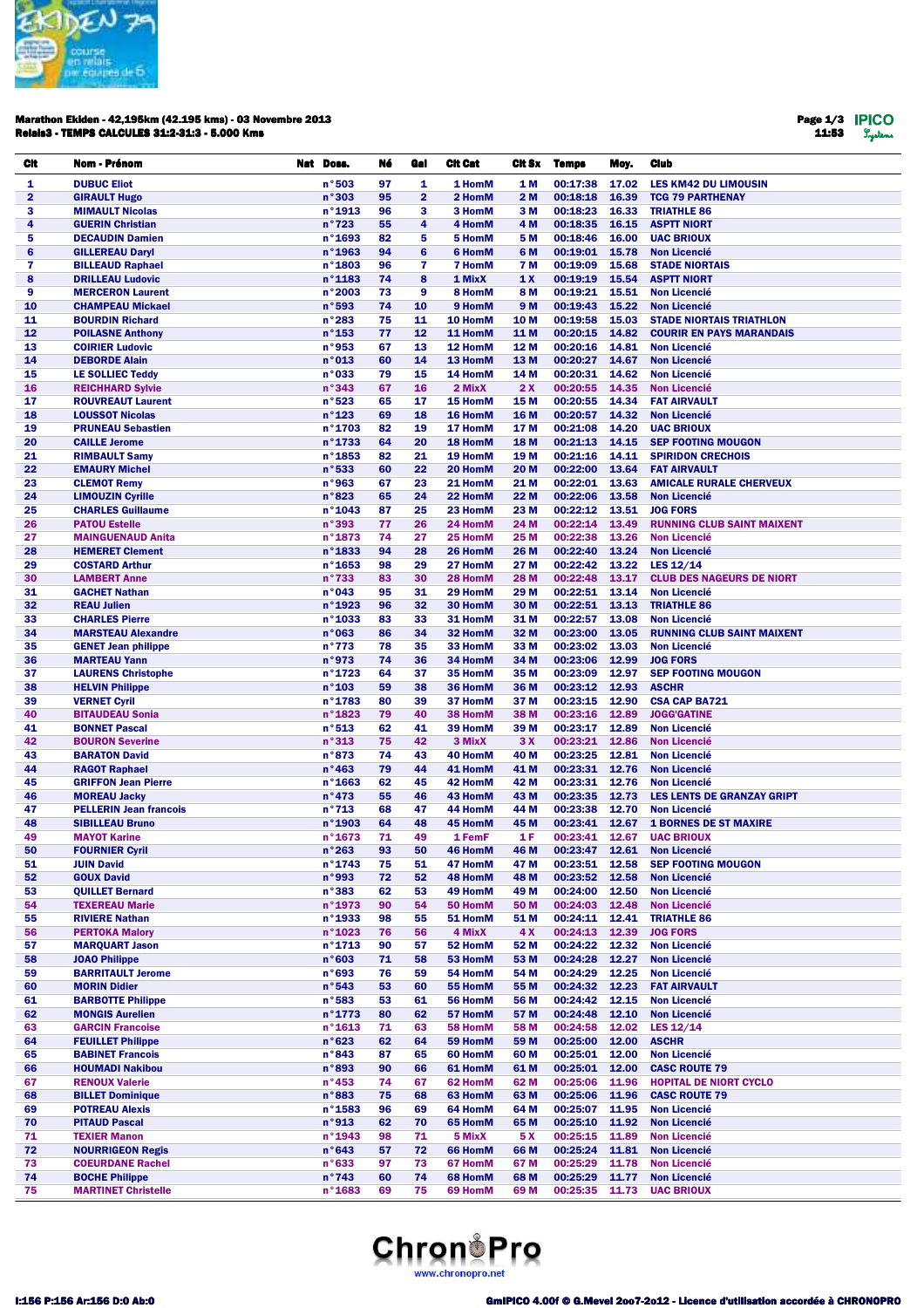

## Marathon Ekiden - 42,195km (42.195 kms) - 03 Novembre 2013 Relais3 - TEMPS CALCULES 31:2-31:3 - 5.000 Kms

Page 1/3 11:53

| Cit                     | Nom - Prénom                                        | Nat Doss.                 | Né       | Gal            | <b>Cit Cat</b>     | Cit Sx                  | <b>Temps</b>         | Moy.           | <b>Club</b>                                            |
|-------------------------|-----------------------------------------------------|---------------------------|----------|----------------|--------------------|-------------------------|----------------------|----------------|--------------------------------------------------------|
| 1                       | <b>DUBUC Eliot</b>                                  | n°503                     | 97       | 1              | 1 HomM             | 1 M                     | 00:17:38             | 17.02          | <b>LES KM42 DU LIMOUSIN</b>                            |
| $\overline{\mathbf{2}}$ | <b>GIRAULT Hugo</b>                                 | n°303                     | 95       | $\overline{2}$ | 2 HomM             | 2 M                     | 00:18:18             | 16.39          | <b>TCG 79 PARTHENAY</b>                                |
| 3                       | <b>MIMAULT Nicolas</b>                              | n°1913                    | 96       | 3              | 3 HomM             | 3 M                     | 00:18:23             | 16.33          | <b>TRIATHLE 86</b>                                     |
| 4                       | <b>GUERIN Christian</b>                             | n°723                     | 55       | 4              | 4 HomM             | 4 M                     | 00:18:35             | 16.15          | <b>ASPTT NIORT</b>                                     |
| 5                       | <b>DECAUDIN Damien</b>                              | $n^{\circ}$ 1693          | 82       | 5              | 5 HomM             | 5 M                     | 00:18:46             | 16.00          | <b>UAC BRIOUX</b>                                      |
| 6                       | <b>GILLEREAU Daryl</b>                              | n°1963                    | 94       | 6              | 6 HomM             | 6 M                     | 00:19:01             | 15.78          | <b>Non Licencié</b>                                    |
| 7                       | <b>BILLEAUD Raphael</b>                             | n°1803                    | 96       | $\mathbf{7}$   | <b>7 HomM</b>      | 7 M                     | 00:19:09             | 15.68          | <b>STADE NIORTAIS</b>                                  |
| 8                       | <b>DRILLEAU Ludovic</b>                             | n°1183                    | 74       | 8              | 1 MixX             | 1X                      | 00:19:19             | 15.54          | <b>ASPTT NIORT</b>                                     |
| 9                       | <b>MERCERON Laurent</b>                             | n°2003                    | 73       | 9              | 8 HomM             | 8 M                     | 00:19:21             | 15.51          | <b>Non Licencié</b>                                    |
| 10                      | <b>CHAMPEAU Mickael</b><br><b>BOURDIN Richard</b>   | n°593                     | 74       | 10<br>11       | 9 HomM             | 9 M                     | 00:19:43<br>00:19:58 | 15.22          | <b>Non Licencié</b><br><b>STADE NIORTAIS TRIATHLON</b> |
| 11<br>12                | <b>POILASNE Anthony</b>                             | n°283<br>$n^{\circ}$ 153  | 75<br>77 | 12             | 10 HomM<br>11 HomM | 10 <sub>M</sub><br>11 M | 00:20:15             | 15.03<br>14.82 | <b>COURIR EN PAYS MARANDAIS</b>                        |
| 13                      | <b>COIRIER Ludovic</b>                              | n°953                     | 67       | 13             | 12 HomM            | 12 M                    | 00:20:16             | 14.81          | <b>Non Licencié</b>                                    |
| 14                      | <b>DEBORDE Alain</b>                                | n°013                     | 60       | 14             | 13 HomM            | 13 M                    | 00:20:27             | 14.67          | <b>Non Licencié</b>                                    |
| 15                      | LE SOLLIEC Teddy                                    | $n°$ 033                  | 79       | 15             | 14 HomM            | 14 M                    | 00:20:31             | 14.62          | <b>Non Licencié</b>                                    |
| 16                      | <b>REICHHARD Sylvie</b>                             | n°343                     | 67       | 16             | 2 MixX             | 2X                      | 00:20:55             | 14.35          | <b>Non Licencié</b>                                    |
| 17                      | <b>ROUVREAUT Laurent</b>                            | n°523                     | 65       | 17             | 15 HomM            | 15 M                    | 00:20:55             | 14.34          | <b>FAT AIRVAULT</b>                                    |
| 18                      | <b>LOUSSOT Nicolas</b>                              | n°123                     | 69       | 18             | 16 HomM            | 16 M                    | 00:20:57             | 14.32          | <b>Non Licencié</b>                                    |
| 19                      | <b>PRUNEAU Sebastien</b>                            | n°1703                    | 82       | 19             | 17 HomM            | 17 M                    | 00:21:08             | 14.20          | <b>UAC BRIOUX</b>                                      |
| 20                      | <b>CAILLE Jerome</b>                                | n°1733                    | 64       | 20             | 18 HomM            | 18 M                    | 00:21:13             | 14.15          | <b>SEP FOOTING MOUGON</b>                              |
| 21                      | <b>RIMBAULT Samy</b>                                | n°1853                    | 82       | 21             | 19 HomM            | 19 <sub>M</sub>         | 00:21:16             | 14.11          | <b>SPIRIDON CRECHOIS</b>                               |
| 22                      | <b>EMAURY Michel</b>                                | n°533                     | 60       | 22             | 20 HomM            | 20 M                    | 00:22:00             | 13.64          | <b>FAT AIRVAULT</b>                                    |
| 23                      | <b>CLEMOT Remy</b>                                  | n°963                     | 67       | 23             | 21 HomM            | 21 M                    | 00:22:01             | 13.63          | <b>AMICALE RURALE CHERVEUX</b><br><b>Non Licencié</b>  |
| 24<br>25                | <b>LIMOUZIN Cyrille</b><br><b>CHARLES Guillaume</b> | n°823<br>n°1043           | 65<br>87 | 24<br>25       | 22 HomM<br>23 HomM | 22 M<br>23 M            | 00:22:06<br>00:22:12 | 13.58<br>13.51 | <b>JOG FORS</b>                                        |
| 26                      | <b>PATOU Estelle</b>                                | n°393                     | 77       | 26             | 24 HomM            | 24 M                    | 00:22:14             | 13.49          | <b>RUNNING CLUB SAINT MAIXENT</b>                      |
| 27                      | <b>MAINGUENAUD Anita</b>                            | n°1873                    | 74       | 27             | 25 HomM            | 25 M                    | 00:22:38             | 13.26          | <b>Non Licencié</b>                                    |
| 28                      | <b>HEMERET Clement</b>                              | n°1833                    | 94       | 28             | 26 HomM            | 26 M                    | 00:22:40             | 13.24          | <b>Non Licencié</b>                                    |
| 29                      | <b>COSTARD Arthur</b>                               | n°1653                    | 98       | 29             | 27 HomM            | 27 M                    | 00:22:42             | 13.22          | LES 12/14                                              |
| 30                      | <b>LAMBERT Anne</b>                                 | n°733                     | 83       | 30             | 28 HomM            | <b>28 M</b>             | 00:22:48             | 13.17          | <b>CLUB DES NAGEURS DE NIORT</b>                       |
| 31                      | <b>GACHET Nathan</b>                                | n°043                     | 95       | 31             | 29 HomM            | 29 M                    | 00:22:51             | 13.14          | <b>Non Licencié</b>                                    |
| 32                      | <b>REAU Julien</b>                                  | n°1923                    | 96       | 32             | 30 HomM            | 30 M                    | 00:22:51             | 13.13          | <b>TRIATHLE 86</b>                                     |
| 33                      | <b>CHARLES Pierre</b>                               | n°1033                    | 83       | 33             | 31 HomM            | 31 M                    | 00:22:57             | 13.08          | <b>Non Licencié</b>                                    |
| 34                      | <b>MARSTEAU Alexandre</b>                           | n°063                     | 86       | 34             | 32 HomM            | 32 M                    | 00:23:00             | 13.05          | <b>RUNNING CLUB SAINT MAIXENT</b>                      |
| 35                      | <b>GENET Jean philippe</b>                          | n°773                     | 78       | 35             | 33 HomM            | 33 M                    | 00:23:02             | 13.03          | <b>Non Licencié</b>                                    |
| 36                      | <b>MARTEAU Yann</b>                                 | n°973                     | 74       | 36             | 34 HomM            | 34 M                    | 00:23:06             | 12.99          | <b>JOG FORS</b>                                        |
| 37                      | <b>LAURENS Christophe</b>                           | n°1723                    | 64       | 37             | 35 HomM            | 35 M                    | 00:23:09             | 12.97          | <b>SEP FOOTING MOUGON</b>                              |
| 38<br>39                | <b>HELVIN Philippe</b><br><b>VERNET Cyril</b>       | $n^{\circ}$ 103<br>n°1783 | 59<br>80 | 38<br>39       | 36 HomM<br>37 HomM | 36 M<br>37 M            | 00:23:12<br>00:23:15 | 12.93<br>12.90 | <b>ASCHR</b><br><b>CSA CAP BA721</b>                   |
| 40                      | <b>BITAUDEAU Sonia</b>                              | n°1823                    | 79       | 40             | 38 HomM            | 38 M                    | 00:23:16             | 12.89          | <b>JOGG'GATINE</b>                                     |
| 41                      | <b>BONNET Pascal</b>                                | n°513                     | 62       | 41             | 39 HomM            | 39 M                    | 00:23:17             | 12.89          | <b>Non Licencié</b>                                    |
| 42                      | <b>BOURON Severine</b>                              | n°313                     | 75       | 42             | 3 MixX             | 3X                      | 00:23:21             | 12.86          | <b>Non Licencié</b>                                    |
| 43                      | <b>BARATON David</b>                                | n°873                     | 74       | 43             | 40 HomM            | 40 M                    | 00:23:25             | 12.81          | <b>Non Licencié</b>                                    |
| 44                      | <b>RAGOT Raphael</b>                                | n°463                     | 79       | 44             | 41 HomM            | 41 M                    | 00:23:31             | 12.76          | <b>Non Licencié</b>                                    |
| 45                      | <b>GRIFFON Jean Pierre</b>                          | $n^{\circ}$ 1663          | 62       | 45             | 42 HomM            | 42 M                    | 00:23:31             | 12.76          | <b>Non Licencié</b>                                    |
| 46                      | <b>MOREAU Jacky</b>                                 | n°473                     | 55       | 46             | 43 HomM            | 43 M                    | 00:23:35             | 12.73          | <b>LES LENTS DE GRANZAY GRIPT</b>                      |
| 47                      | <b>PELLERIN Jean francois</b>                       | $n^{\circ}713$            | 68       | 47             | 44 HomM            | 44 M                    | 00:23:38             | 12.70          | <b>Non Licencié</b>                                    |
| 48                      | <b>SIBILLEAU Bruno</b>                              | n°1903                    | 64       | 48             | 45 HomM            | 45 M                    | 00:23:41             | 12.67          | <b>1 BORNES DE ST MAXIRE</b>                           |
| 49                      | <b>MAYOT Karine</b>                                 | n°1673                    | 71       | 49             | 1 FemF             | 1 F                     | 00:23:41             | 12.67          | <b>UAC BRIOUX</b>                                      |
| 50                      | <b>FOURNIER Cyril</b>                               | n°263                     | 93       | 50             | 46 HomM<br>47 HomM | 46 M                    | 00:23:47             | 12.61          | <b>Non Licencié</b>                                    |
| 51<br>52                | <b>JUIN David</b><br><b>GOUX David</b>              | n°1743<br>n°993           | 75<br>72 | 51<br>52       | 48 HomM            | 47 M<br>48 M            | 00:23:51<br>00:23:52 | 12.58<br>12.58 | <b>SEP FOOTING MOUGON</b><br><b>Non Licencié</b>       |
| 53                      | <b>QUILLET Bernard</b>                              | n°383                     | 62       | 53             | 49 HomM            | 49 M                    | 00:24:00             | 12.50          | <b>Non Licencié</b>                                    |
| 54                      | <b>TEXEREAU Marie</b>                               | n°1973                    | 90       | 54             | 50 HomM            | 50 M                    | 00:24:03             | 12.48          | <b>Non Licencié</b>                                    |
| 55                      | <b>RIVIERE Nathan</b>                               | n°1933                    | 98       | 55             | 51 HomM            | 51 M                    | 00:24:11             | 12.41          | <b>TRIATHLE 86</b>                                     |
| 56                      | <b>PERTOKA Malory</b>                               | n°1023                    | 76       | 56             | 4 MixX             | 4X                      | 00:24:13             | 12.39          | <b>JOG FORS</b>                                        |
| 57                      | <b>MARQUART Jason</b>                               | n°1713                    | 90       | 57             | 52 HomM            | 52 M                    | 00:24:22             | 12.32          | <b>Non Licencié</b>                                    |
| 58                      | <b>JOAO Philippe</b>                                | n°603                     | 71       | 58             | 53 HomM            | 53 M                    | 00:24:28             | 12.27          | <b>Non Licencié</b>                                    |
| 59                      | <b>BARRITAULT Jerome</b>                            | n°693                     | 76       | 59             | 54 HomM            | 54 M                    | 00:24:29             | 12.25          | <b>Non Licencié</b>                                    |
| 60                      | <b>MORIN Didier</b>                                 | n°543                     | 53       | 60             | 55 HomM            | 55 M                    | 00:24:32             | 12.23          | <b>FAT AIRVAULT</b>                                    |
| 61                      | <b>BARBOTTE Philippe</b>                            | n°583                     | 53       | 61             | 56 HomM            | 56 M                    | 00:24:42             | 12.15          | <b>Non Licencié</b>                                    |
| 62                      | <b>MONGIS Aurelien</b>                              | n°1773                    | 80       | 62             | 57 HomM            | 57 M                    | 00:24:48             | 12.10          | <b>Non Licencié</b>                                    |
| 63                      | <b>GARCIN Francoise</b>                             | $n^{\circ}$ 1613          | 71       | 63             | 58 HomM            | 58 M                    | 00:24:58             | 12.02          | LES 12/14                                              |
| 64                      | <b>FEUILLET Philippe</b>                            | n°623<br>n°843            | 62       | 64             | 59 HomM            | 59 M                    | 00:25:00             | 12.00<br>12.00 | <b>ASCHR</b><br><b>Non Licencié</b>                    |
| 65<br>66                | <b>BABINET Francois</b><br><b>HOUMADI Nakibou</b>   | n°893                     | 87<br>90 | 65<br>66       | 60 HomM<br>61 HomM | 60 M<br>61 M            | 00:25:01<br>00:25:01 | 12.00          | <b>CASC ROUTE 79</b>                                   |
| 67                      | <b>RENOUX Valerie</b>                               | $n^{\circ}$ 453           | 74       | 67             | 62 HomM            | 62 M                    | 00:25:06             | 11.96          | <b>HOPITAL DE NIORT CYCLO</b>                          |
| 68                      | <b>BILLET Dominique</b>                             | n°883                     | 75       | 68             | 63 HomM            | 63 M                    | 00:25:06             | 11.96          | <b>CASC ROUTE 79</b>                                   |
| 69                      | <b>POTREAU Alexis</b>                               | $n^{\circ}$ 1583          | 96       | 69             | 64 HomM            | 64 M                    | 00:25:07             | 11.95          | <b>Non Licencié</b>                                    |
| 70                      | <b>PITAUD Pascal</b>                                | n°913                     | 62       | 70             | 65 HomM            | 65 M                    | 00:25:10             | 11.92          | <b>Non Licencié</b>                                    |
| 71                      | <b>TEXIER Manon</b>                                 | n°1943                    | 98       | 71             | 5 MixX             | 5 X                     | 00:25:15             | 11.89          | <b>Non Licencié</b>                                    |
| 72                      | <b>NOURRIGEON Regis</b>                             | n°643                     | 57       | 72             | 66 HomM            | 66 M                    | 00:25:24             | 11.81          | <b>Non Licencié</b>                                    |
| 73                      | <b>COEURDANE Rachel</b>                             | n°633                     | 97       | 73             | 67 HomM            | 67 M                    | 00:25:29             | 11.78          | <b>Non Licencié</b>                                    |
| 74                      | <b>BOCHE Philippe</b>                               | n°743                     | 60       | 74             | 68 HomM            | 68 M                    | 00:25:29             | 11.77          | <b>Non Licencié</b>                                    |
| 75                      | <b>MARTINET Christelle</b>                          | $n^{\circ}$ 1683          | 69       | 75             | 69 HomM            | 69 M                    | 00:25:35             | 11.73          | <b>UAC BRIOUX</b>                                      |

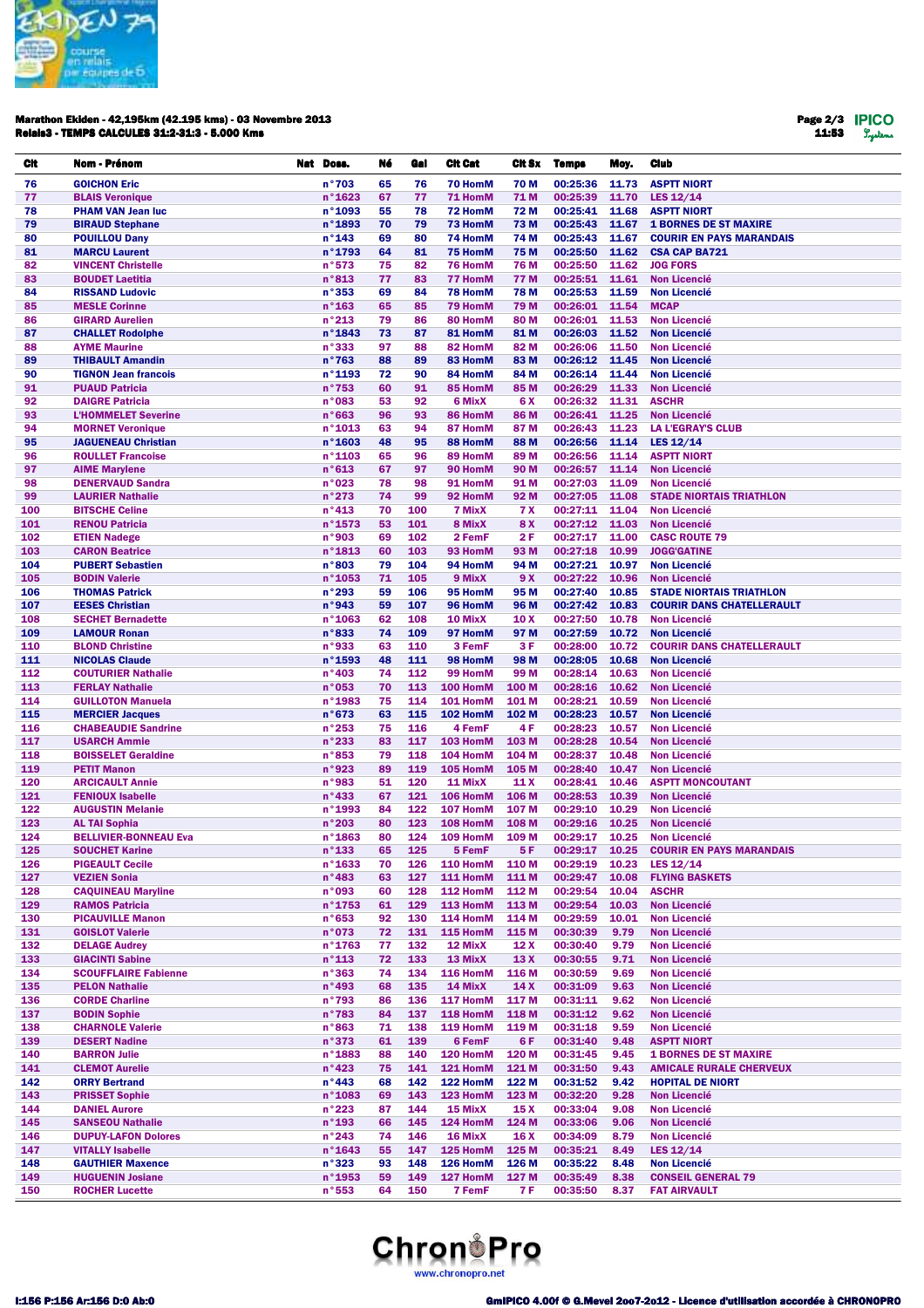

## Marathon Ekiden - 42,195km (42.195 kms) - 03 Novembre 2013 Relais3 - TEMPS CALCULES 31:2-31:3 - 5.000 Kms

Page 2/3 11:53

| CIt        | Nom - Prénom                                           | Nat Doss.                           | Né       | Gal        | <b>Cit Cat</b>       | Cit Sx                 | Temps                      | Moy.           | Club                                                           |
|------------|--------------------------------------------------------|-------------------------------------|----------|------------|----------------------|------------------------|----------------------------|----------------|----------------------------------------------------------------|
| 76         | <b>GOICHON Eric</b>                                    | n°703                               | 65       | 76         | 70 HomM              | 70 M                   | 00:25:36                   | 11.73          | <b>ASPTT NIORT</b>                                             |
| 77         | <b>BLAIS Veronique</b>                                 | $n^{\circ}$ 1623                    | 67       | 77         | 71 HomM              | 71 M                   | 00:25:39                   | 11.70          | LES $12/14$                                                    |
| 78         | <b>PHAM VAN Jean luc</b>                               | n°1093                              | 55       | 78         | 72 HomM              | 72 M                   | 00:25:41                   | 11.68          | <b>ASPTT NIORT</b>                                             |
| 79         | <b>BIRAUD Stephane</b>                                 | n°1893                              | 70       | 79         | 73 HomM              | 73 M                   | 00:25:43                   | 11.67          | <b>1 BORNES DE ST MAXIRE</b>                                   |
| 80         | <b>POUILLOU Dany</b>                                   | $n^{\circ}$ 143                     | 69       | 80         | 74 HomM              | 74 M                   | 00:25:43                   | 11.67          | <b>COURIR EN PAYS MARANDAIS</b>                                |
| 81<br>82   | <b>MARCU Laurent</b><br><b>VINCENT Christelle</b>      | n°1793<br>n°573                     | 64<br>75 | 81<br>82   | 75 HomM<br>76 HomM   | 75 M<br><b>76 M</b>    | 00:25:50<br>00:25:50       | 11.62<br>11.62 | <b>CSA CAP BA721</b><br><b>JOG FORS</b>                        |
| 83         | <b>BOUDET Laetitia</b>                                 | n°813                               | 77       | 83         | 77 HomM              | 77 M                   | 00:25:51 11.61             |                | <b>Non Licencié</b>                                            |
| 84         | <b>RISSAND Ludovic</b>                                 | n°353                               | 69       | 84         | 78 HomM              | 78 M                   | 00:25:53                   | 11.59          | <b>Non Licencié</b>                                            |
| 85         | <b>MESLE Corinne</b>                                   | $n^{\circ}$ 163                     | 65       | 85         | 79 HomM              | 79 M                   | 00:26:01 11.54             |                | <b>MCAP</b>                                                    |
| 86         | <b>GIRARD Aurelien</b>                                 | $n^{\circ}213$                      | 79       | 86         | 80 HomM              | 80 M                   | 00:26:01                   | 11.53          | <b>Non Licencié</b>                                            |
| 87         | <b>CHALLET Rodolphe</b>                                | n°1843                              | 73       | 87         | 81 HomM              | 81 M                   | 00:26:03                   | 11.52          | <b>Non Licencié</b>                                            |
| 88         | <b>AYME Maurine</b>                                    | n°333                               | 97       | 88         | 82 HomM              | 82 M                   | 00:26:06                   | 11.50          | <b>Non Licencié</b>                                            |
| 89         | <b>THIBAULT Amandin</b><br><b>TIGNON Jean francois</b> | $n^{\circ}763$<br>n°1193            | 88<br>72 | 89<br>90   | 83 HomM              | 83 M                   | 00:26:12<br>00:26:14       | 11.45<br>11.44 | <b>Non Licencié</b>                                            |
| 90<br>91   | <b>PUAUD Patricia</b>                                  | $n^{\circ}753$                      | 60       | 91         | 84 HomM<br>85 HomM   | 84 M<br>85 M           | 00:26:29                   | 11.33          | <b>Non Licencié</b><br><b>Non Licencié</b>                     |
| 92         | <b>DAIGRE Patricia</b>                                 | n°083                               | 53       | 92         | 6 MixX               | 6 X                    | 00:26:32                   | 11.31          | <b>ASCHR</b>                                                   |
| 93         | <b>L'HOMMELET Severine</b>                             | n°663                               | 96       | 93         | 86 HomM              | 86 M                   | 00:26:41                   | 11.25          | <b>Non Licencié</b>                                            |
| 94         | <b>MORNET Veronique</b>                                | n°1013                              | 63       | 94         | 87 HomM              | 87 M                   | 00:26:43                   | 11.23          | <b>LA L'EGRAY'S CLUB</b>                                       |
| 95         | <b>JAGUENEAU Christian</b>                             | $n^{\circ}$ 1603                    | 48       | 95         | 88 HomM              | 88 M                   | 00:26:56                   | 11.14          | LES $12/14$                                                    |
| 96         | <b>ROULLET Francoise</b>                               | $n^{\circ}$ 1103                    | 65       | 96         | 89 HomM              | 89 M                   | 00:26:56                   | 11.14          | <b>ASPTT NIORT</b>                                             |
| 97         | <b>AIME Marylene</b>                                   | n°613                               | 67       | 97         | 90 HomM              | 90 M                   | 00:26:57                   | 11.14          | <b>Non Licencié</b><br><b>Non Licencié</b>                     |
| 98<br>99   | <b>DENERVAUD Sandra</b><br><b>LAURIER Nathalie</b>     | n°023<br>n°273                      | 78<br>74 | 98<br>99   | 91 HomM<br>92 HomM   | 91 M<br>92 M           | 00:27:03<br>00:27:05 11.08 | 11.09          | <b>STADE NIORTAIS TRIATHLON</b>                                |
| 100        | <b>BITSCHE Celine</b>                                  | $n^{\circ}$ 413                     | 70       | 100        | 7 MixX               | <b>7 X</b>             | 00:27:11                   | 11.04          | <b>Non Licencié</b>                                            |
| 101        | <b>RENOU Patricia</b>                                  | n°1573                              | 53       | 101        | 8 MixX               | 8 X                    | 00:27:12                   | 11.03          | <b>Non Licencié</b>                                            |
| 102        | <b>ETIEN Nadege</b>                                    | n°903                               | 69       | 102        | 2 FemF               | 2 F                    | 00:27:17                   | 11.00          | <b>CASC ROUTE 79</b>                                           |
| 103        | <b>CARON Beatrice</b>                                  | n°1813                              | 60       | 103        | 93 HomM              | 93 M                   | 00:27:18                   | 10.99          | <b>JOGG'GATINE</b>                                             |
| 104        | <b>PUBERT Sebastien</b>                                | n°803                               | 79       | 104        | 94 HomM              | 94 M                   | 00:27:21                   | 10.97          | <b>Non Licencié</b>                                            |
| 105        | <b>BODIN Valerie</b>                                   | n°1053                              | 71       | 105        | 9 MixX               | 9 X                    | 00:27:22                   | 10.96          | <b>Non Licencié</b>                                            |
| 106        | <b>THOMAS Patrick</b>                                  | n°293                               | 59       | 106        | 95 HomM              | 95 M                   | 00:27:40                   | 10.85          | <b>STADE NIORTAIS TRIATHLON</b>                                |
| 107<br>108 | <b>EESES Christian</b><br><b>SECHET Bernadette</b>     | n°943<br>$n^{\circ}$ 1063           | 59<br>62 | 107<br>108 | 96 HomM<br>10 MixX   | 96 M<br>10 X           | 00:27:42<br>00:27:50       | 10.83<br>10.78 | <b>COURIR DANS CHATELLERAULT</b><br><b>Non Licencié</b>        |
| 109        | <b>LAMOUR Ronan</b>                                    | n°833                               | 74       | 109        | 97 HomM              | 97 M                   | 00:27:59                   | 10.72          | <b>Non Licencié</b>                                            |
| 110        | <b>BLOND Christine</b>                                 | n°933                               | 63       | 110        | 3 FemF               | 3 F                    | 00:28:00                   | 10.72          | <b>COURIR DANS CHATELLERAULT</b>                               |
| 111        | <b>NICOLAS Claude</b>                                  | $n^{\circ}$ 1593                    | 48       | 111        | 98 HomM              | 98 M                   | 00:28:05                   | 10.68          | <b>Non Licencié</b>                                            |
| 112        | <b>COUTURIER Nathalie</b>                              | $n^{\circ}403$                      | 74       | 112        | 99 HomM              | 99 M                   | 00:28:14                   | 10.63          | <b>Non Licencié</b>                                            |
| 113        | <b>FERLAY Nathalie</b>                                 | n°053                               | 70       | 113        | 100 HomM             | 100 M                  | 00:28:16                   | 10.62          | <b>Non Licencié</b>                                            |
| 114        | <b>GUILLOTON Manuela</b>                               | n°1983                              | 75       | 114        | 101 HomM             | 101 M                  | 00:28:21                   | 10.59          | <b>Non Licencié</b>                                            |
| 115        | <b>MERCIER Jacques</b>                                 | n°673                               | 63       | 115        | 102 HomM             | 102 M                  | 00:28:23                   | 10.57          | <b>Non Licencié</b>                                            |
| 116<br>117 | <b>CHABEAUDIE Sandrine</b><br><b>USARCH Ammie</b>      | n°253<br>n°233                      | 75<br>83 | 116<br>117 | 4 FemF<br>103 HomM   | 4F<br>103 M            | 00:28:23<br>00:28:28       | 10.57<br>10.54 | <b>Non Licencié</b><br><b>Non Licencié</b>                     |
| 118        | <b>BOISSELET Geraldine</b>                             | n°853                               | 79       | 118        | 104 HomM             | 104 M                  | 00:28:37                   | 10.48          | <b>Non Licencié</b>                                            |
| 119        | <b>PETIT Manon</b>                                     | n°923                               | 89       | 119        | 105 HomM             | 105 M                  | 00:28:40                   | 10.47          | <b>Non Licencié</b>                                            |
| 120        | <b>ARCICAULT Annie</b>                                 | n°983                               | 51       | 120        | 11 MixX              | 11 X                   | 00:28:41                   | 10.46          | <b>ASPTT MONCOUTANT</b>                                        |
| 121        | <b>FENIOUX Isabelle</b>                                | $n^{\circ}433$                      | 67       | 121        | 106 HomM             | 106 M                  | 00:28:53                   | 10.39          | <b>Non Licencié</b>                                            |
| 122        | <b>AUGUSTIN Melanie</b>                                | n°1993                              | 84       | 122        | 107 HomM             | 107 M                  | 00:29:10                   | 10.29          | <b>Non Licencié</b>                                            |
| 123        | <b>AL TAI Sophia</b>                                   | n°203                               | 80       | 123        | 108 HomM             | 108 M                  | 00:29:16                   | 10.25          | <b>Non Licencié</b>                                            |
| 124<br>125 | <b>BELLIVIER-BONNEAU Eva</b>                           | $n^{\circ}$ 1863                    | 80<br>65 | 124<br>125 | 109 HomM<br>5 FemF   | 109 <sub>M</sub><br>5F | 00:29:17                   | 10.25          | <b>Non Licencié</b><br>00:29:17 10.25 COURIR EN PAYS MARANDAIS |
| 126        | <b>SOUCHET Karine</b><br><b>PIGEAULT Cecile</b>        | $n^{\circ}$ 133<br>$n^{\circ}$ 1633 | 70       | 126        | 110 HomM             | 110 M                  | 00:29:19                   |                | 10.23 LES 12/14                                                |
| 127        | <b>VEZIEN Sonia</b>                                    | $n^{\circ}483$                      | 63       | 127        | <b>111 HomM</b>      | 111 M                  | 00:29:47                   | 10.08          | <b>FLYING BASKETS</b>                                          |
| 128        | <b>CAQUINEAU Maryline</b>                              | n°093                               | 60       | 128        | 112 HomM             | 112 M                  | 00:29:54                   | 10.04          | <b>ASCHR</b>                                                   |
| 129        | <b>RAMOS Patricia</b>                                  | $n^{\circ}$ 1753                    | 61       | 129        | 113 HomM             | 113 M                  | 00:29:54                   | 10.03          | <b>Non Licencié</b>                                            |
| 130        | <b>PICAUVILLE Manon</b>                                | n°653                               | 92       | 130        | 114 HomM             | 114 M                  | 00:29:59                   | 10.01          | <b>Non Licencié</b>                                            |
| 131        | <b>GOISLOT Valerie</b>                                 | n°073                               | 72       | 131        | 115 HomM             | 115 M                  | 00:30:39                   | 9.79           | <b>Non Licencié</b>                                            |
| 132        | <b>DELAGE Audrey</b>                                   | $n^{\circ}$ 1763                    | 77       | 132        | 12 MixX              | 12 <sub>X</sub>        | 00:30:40                   | 9.79           | <b>Non Licencié</b>                                            |
| 133<br>134 | <b>GIACINTI Sabine</b><br><b>SCOUFFLAIRE Fabienne</b>  | $n^{\circ}$ 113<br>n°363            | 72<br>74 | 133<br>134 | 13 MixX<br>116 HomM  | 13X<br>116 M           | 00:30:55<br>00:30:59       | 9.71<br>9.69   | <b>Non Licencié</b><br><b>Non Licencié</b>                     |
| 135        | <b>PELON Nathalie</b>                                  | n°493                               | 68       | 135        | 14 MixX              | 14 X                   | 00:31:09                   | 9.63           | <b>Non Licencié</b>                                            |
| 136        | <b>CORDE Charline</b>                                  | n°793                               | 86       | 136        | 117 HomM             | 117 M                  | 00:31:11                   | 9.62           | <b>Non Licencié</b>                                            |
| 137        | <b>BODIN Sophie</b>                                    | $n^{\circ}783$                      | 84       | 137        | 118 HomM             | 118 M                  | 00:31:12                   | 9.62           | <b>Non Licencié</b>                                            |
| 138        | <b>CHARNOLE Valerie</b>                                | n°863                               | 71       | 138        | 119 HomM             | 119 M                  | 00:31:18                   | 9.59           | <b>Non Licencié</b>                                            |
| 139        | <b>DESERT Nadine</b>                                   | n°373                               | 61       | 139        | 6 FemF               | 6F                     | 00:31:40                   | 9.48           | <b>ASPTT NIORT</b>                                             |
| 140        | <b>BARRON Julie</b>                                    | n°1883                              | 88       | 140        | 120 HomM             | 120 M                  | 00:31:45                   | 9.45           | <b>1 BORNES DE ST MAXIRE</b>                                   |
| 141        | <b>CLEMOT Aurelie</b>                                  | $n^{\circ}$ 423                     | 75       | 141        | 121 HomM             | 121 M                  | 00:31:50                   | 9.43           | <b>AMICALE RURALE CHERVEUX</b>                                 |
| 142<br>143 | <b>ORRY Bertrand</b><br><b>PRISSET Sophie</b>          | n°443<br>n°1083                     | 68<br>69 | 142<br>143 | 122 HomM<br>123 HomM | 122 M<br>123 M         | 00:31:52<br>00:32:20       | 9.42<br>9.28   | <b>HOPITAL DE NIORT</b><br><b>Non Licencié</b>                 |
| 144        | <b>DANIEL Aurore</b>                                   | $n^{\circ}$ 223                     | 87       | 144        | 15 MixX              | 15 <sub>X</sub>        | 00:33:04                   | 9.08           | <b>Non Licencié</b>                                            |
| 145        | <b>SANSEOU Nathalie</b>                                | $n^{\circ}$ 193                     | 66       | 145        | 124 HomM             | 124 M                  | 00:33:06                   | 9.06           | <b>Non Licencié</b>                                            |
| 146        | <b>DUPUY-LAFON Dolores</b>                             | n°243                               | 74       | 146        | 16 MixX              | 16 X                   | 00:34:09                   | 8.79           | <b>Non Licencié</b>                                            |
| 147        | <b>VITALLY Isabelle</b>                                | $n^{\circ}$ 1643                    | 55       | 147        | 125 HomM             | 125 M                  | 00:35:21                   | 8.49           | LES $12/14$                                                    |
| 148        | <b>GAUTHIER Maxence</b>                                | n°323                               | 93       | 148        | 126 HomM             | 126 M                  | 00:35:22                   | 8.48           | <b>Non Licencié</b>                                            |
| 149        | <b>HUGUENIN Josiane</b>                                | n°1953                              | 59       | 149        | 127 HomM             | 127 M                  | 00:35:49                   | 8.38           | <b>CONSEIL GENERAL 79</b>                                      |
| 150        | <b>ROCHER Lucette</b>                                  | n°553                               | 64       | 150        | 7 FemF               | 7 F                    | 00:35:50                   | 8.37           | <b>FAT AIRVAULT</b>                                            |